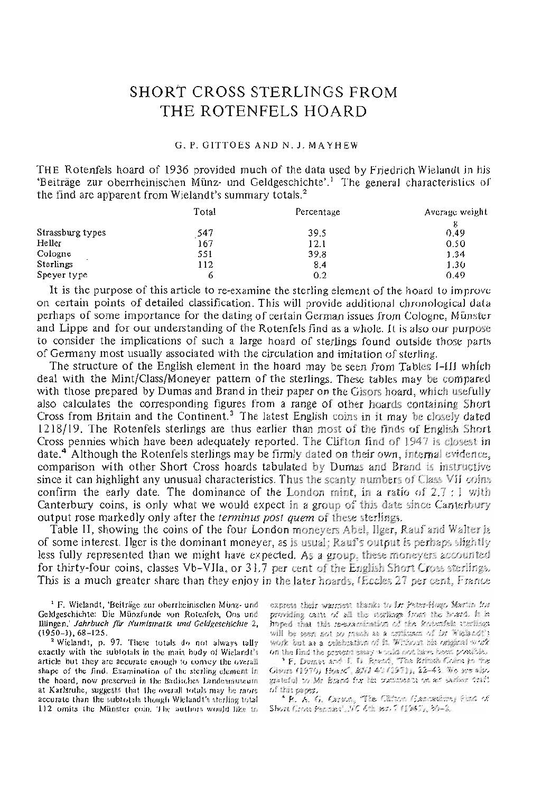# SHORT CROSS STERLINGS FROM THE ROTENFELS HOARD

#### G. P. GITTOES AND N. J. MAYHBW

THE Rotenfels hoard of 1936 provided much of the data used by Friedrich Wielandt in his Beiträge zur oberrheinischen Münz- und Geldgeschichte'.<sup>1</sup> The general characteristics of the find are apparent from Wielandt's summary totals.<sup>2</sup>

|                  | Total | Percentage | Average weight |
|------------------|-------|------------|----------------|
| Strassburg types | 547   | 39.5       | g<br>0.49      |
| Heller           | 167   | 12.1       | 0.50           |
| Cologne          | 551   | 39.8       | 1.34           |
| Sterlings        | 112   | 8.4        | 1.30           |
| Speyer type      | O     | 0.2        | 0.49           |

It is the purpose of this article to re-examine the sterling element of the hoard to improve on certain points of detailed classification. This will provide additional chronological data perhaps of some importance for the dating of certain German issues from Cologne, Munster and Lippe and for our understanding of the Rotenfels find as a whole. It is also our purpose to consider the implications of such a large hoard of sterlings found outside those parts of Germany most usually associated with the circulation and imitation of sterling.

The structure of the English element in the hoard may be seen from Tables I—III which deal with the Mint/Class/Moneyer pattern of the sterlings. These tables may be compared with those prepared by Dumas and Brand in their paper on the Gisors hoard, which usefully also calculates the corresponding figures from a range of other hoards containing Short Cross from Britain and the Continent.<sup>3</sup> The latest English coins in it may be closely dated 1218/19. The Rotenfels sterlings are thus earlier than most of the finds of English Short Cross pennies which have been adequately reported. The Clifton find of 1947 is closest in date.<sup>4</sup> Although the Rotenfels sterlings may be firmly dated on their own, internal evidence, comparison with other Short Cross hoards tabulated by Dumas and Brand is instructive since it can highlight any unusual characteristics. Thus the scanty numbers of Class VII coins confirm the early date. The dominance of the London mint, in a ratio of  $2.7:1$  with Canterbury coins, is only what we would expect in a group of this date since Canterbury output rose markedly only after the *terminus post quern* of these sterlings.

Table II, showing the coins of the four London moneyers Abel, Ilger, Rauf and Walter is of some interest. Ilger is the dominant moneyer, as is usual: Raui's output is perhaps slightly less fully represented than we might have expected. As a group, these moneyers a*ccetmted*  for thirty-four coins, classes Vb-VIIa, or 31.7 per cent of the English Short Cross sterlings. This is a much greater share than they enjoy in the later hoards, (Eccles 27 per cent, France

<sup>1</sup> F. Wielandt, 'Beiträge zur oberrheinischen Münz- und Geldgeschiehte: Die Miinzfunde von Rotenfeis, Oos und flfingen.' *Jahrbuch fur Numismatik und Celdgeschlchte 2,*  (1950-1), 68-125. 1

<sup>2</sup> Wielandt, p. 97. These totals do not always tally exactly with the subtotals in the main body of Wielandt's article but they are accurate enough to convey the overall shape of the And, Examination of the sterling element *in*  the hoard, now preserved in the Badisches Landesmuseum at Karlsruhe, suggests that the overall totals may be more accurate than the subtotals though Wielandt's sterling total 112 omits the Munster coin. The authors would like to

express their warmest thanks to Dr Peter-Hugo Martin for p.'oriding *easts* of al ttos sferfings *fwm* tfc JiesarA, ft is hoped that this re-examination of the Redemfels sterlings will be seen not so much as a criticans of by Wielandf's work but as a celebration of it, Wishout his original work on the find the *prevent* exary would not have been powelds.

\* F. Dumas, *ami* J, D, Bwrtd, THte IriitMj *Cmm* ft® Gisons (1970) Hoard, BNT 40 (1911), 22-43. We are also grateful to Mr Brand for his excenses to an excher draft *of tMf paper.* 

\* R, A, G, Carson, 'The Clifton Gascashow) Find of Short Cine Penned, NC 6th *mt, 7 (1947)*, 30-2.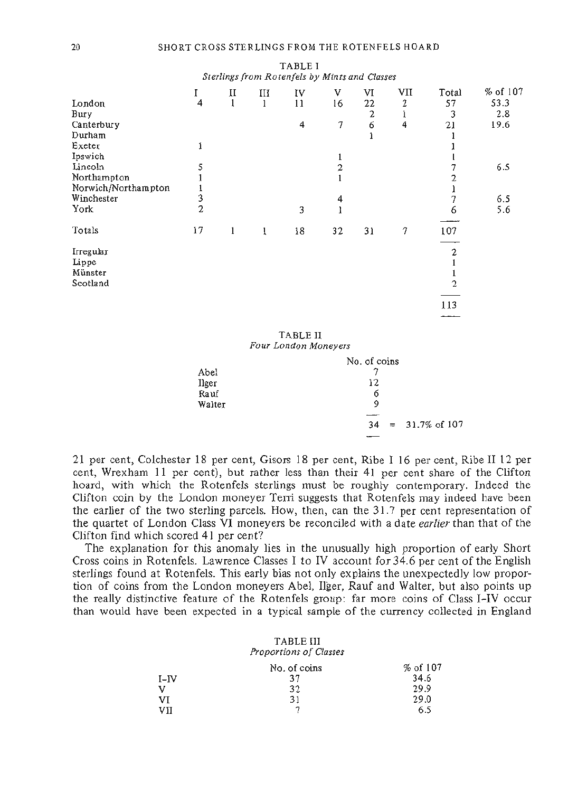|                     |    |              |   | Sterlings from Rotenfels by Mints and Classes |                |                  |                  |       |          |
|---------------------|----|--------------|---|-----------------------------------------------|----------------|------------------|------------------|-------|----------|
|                     | I  | П            | ш | IV                                            | V              | VI               | VII              | Total | % of 107 |
| London              | 4  | $\mathbf{1}$ | 1 | 11                                            | 16             | 22               | $\boldsymbol{2}$ | 57    | 53.3     |
| Bury                |    |              |   |                                               |                | $\boldsymbol{2}$ | 1                | 3     | 2.8      |
| Canterbury          |    |              |   | 4                                             | 7              | 6                | 4                | 21    | 19.6     |
| Durham              |    |              |   |                                               |                |                  |                  |       |          |
| Exeter              |    |              |   |                                               |                |                  |                  |       |          |
| Ipswich             |    |              |   |                                               | 1              |                  |                  |       |          |
| Lincoln             |    |              |   |                                               | $\overline{2}$ |                  |                  |       | 6.5      |
| Northampton         |    |              |   |                                               |                |                  |                  |       |          |
| Norwich/Northampton |    |              |   |                                               |                |                  |                  |       |          |
| Winchester          | 3  |              |   |                                               | 4              |                  |                  |       | 6.5      |
| York                | 2  |              |   | 3                                             | l              |                  |                  | 6     | 5.6      |
| Totals              | 17 | $\mathbf{1}$ | Ĩ | 18                                            | 32             | 31               | 7                | 107   |          |
|                     |    |              |   |                                               |                |                  |                  | 2     |          |
| Irregular<br>Lippe  |    |              |   |                                               |                |                  |                  |       |          |
| Münster             |    |              |   |                                               |                |                  |                  |       |          |
| Scotland            |    |              |   |                                               |                |                  |                  | 2     |          |
|                     |    |              |   |                                               |                |                  |                  |       |          |
|                     |    |              |   |                                               |                |                  |                  | 113   |          |
|                     |    |              |   |                                               |                |                  |                  |       |          |
|                     |    |              |   |                                               |                |                  |                  |       |          |

TABLE I

TABLE II *Four London Moneyers* 

|        | No. of coins |                            |
|--------|--------------|----------------------------|
| Abel   |              |                            |
| llger  | 12           |                            |
| Rauf   | 6            |                            |
| Walter | 9            |                            |
|        |              |                            |
|        | 34           | $= 31.7\% \text{ of } 107$ |
|        |              |                            |

21 per cent, Colchester 18 per cent, Gisors 18 per cent, Ribe I 16 per cent, Ribe II 12 per cent, Wrexham 11 per cent), but rather less than their 41 per cent share of the Clifton hoard, with which the Rotenfels sterlings must be roughly contemporary. Indeed the Clifton coin by the London moneyer Terri suggests that Rotenfels may indeed have been the earlier of the two sterling parcels. How, then, can the 31.7 per cent representation of the quartet of London Class VI moneyers be reconciled with a date *earlier* than that of the Clifton find which scored 41 per cent?

The explanation for this anomaly lies in the unusually high proportion of early Short Cross coins in Rotenfels. Lawrence Classes I to IV account for 34.6 per cent of the English sterlings found at Rotenfels. This early bias not only explains the unexpectedly low proportion of coins from the London moneyers Abel, Ilger, Rauf and Walter, but also points up the really distinctive feature of the Rotenfels group: far more coins of Class I-IV occur than would have been expected in a typical sample of the currency collected in England

### TABLE III *Proportions of Classes*  No. of coins  $\%$  of 107  $I-IV$  37 34.6  $V$  32 29.9 VI 29.0 VII 7 6.5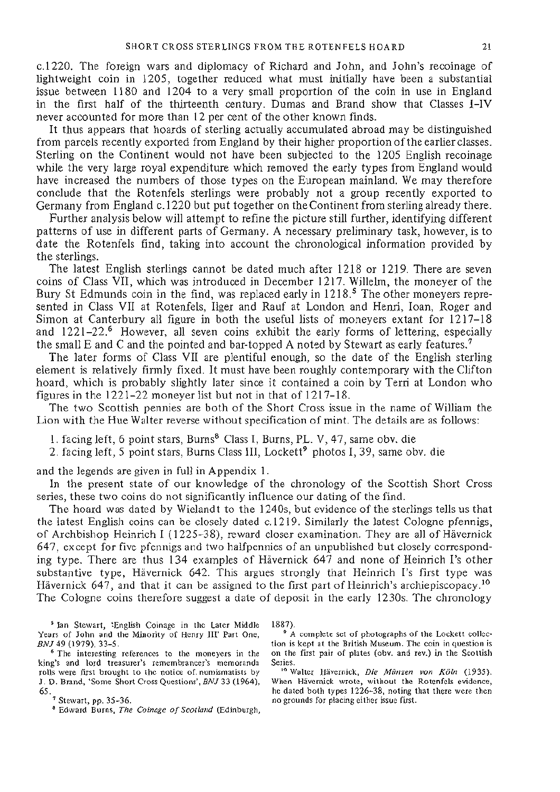c.1220. The foreign wars and diplomacy of Richard and John, and John's recoinage of lightweight coin in 1205, together reduced what must initially have been a substantial issue between 1180 and 1204 to a very small proportion of the coin in use in England in the first half of the thirteenth century. Dumas and Brand show that Classes I-IV never accounted for more than 12 per cent of the other known finds.

It thus appears that hoards of sterling actually accumulated abroad may be distinguished from parcels recently exported from England by their higher proportion of the earlier classes. Sterling on the Continent would not have been subjected to the 1205 English recoinage while the very large royal expenditure which removed the early types from England would have increased the numbers of those types on the European mainland. We may therefore conclude that the Rotenfels sterlings were probably not a group recently exported to Germany from England c. 1220 but put together on the Continent from sterling already there.

Further analysis below will attempt to refine the picture still further, identifying different patterns of use in different parts of Germany. A necessary preliminary task, however, is to date the Rotenfels find, taking into account the chronological information provided by the sterlings.

The latest English sterlings cannot be dated much after 1218 or 1219. There are seven coins of Class VII, which was introduced in December 1217. Willelm, the moneyer of the Bury St Edmunds coin in the find, was replaced early in 1218.<sup>5</sup> The other moneyers represented in Class VII at Rotenfels, Ilger and Rauf at London and Henri, loan, Roger and Simon at Canterbury all figure in both the useful lists of moneyers extant for 1217-18 and 1221-22.<sup>6</sup> However, all seven coins exhibit the early forms of lettering, especially the small E and C and the pointed and bar-topped A noted by Stewart as early features.<sup>7</sup>

The later forms of Class VII are plentiful enough, so the date of the English sterling element is relatively firmly fixed. It must have been roughly contemporary with the Clifton hoard, which is probably slightly later since it contained a coin by Terri at London who figures in the 1221-22 moneyer list but not in that of 1217-18.

The two Scottish pennies are both of the Short Cross issue in the name of William the Lion with the Hue Walter reverse without specification of mint. The details are as follows:

1. facing left, 6 point stars, Burns<sup>8</sup> Class I, Burns, PL. V, 47, same obv. die

2. facing left, 5 point stars, Burns Class III, Lockett<sup>9</sup> photos I, 39, same obv. die

and the legends are given in full in Appendix 1.

In the present state of our knowledge of the chronology of the Scottish Short Cross series, these two coins do not significantly influence our dating of the find.

The hoard was dated by Wielandt to the 1240s, but evidence of the sterlings tells us that the latest English coins can be closely dated c.1219. Similarly the latest Cologne pfennigs, of Archbishop Heinrich I (1225-38), reward closer examination. They are all of Havernick 647, except for five pfennigs and two halfpennies of an unpublished but closely corresponding type. There are thus 134 examples of Havernick 647 and none of Heinrich I's other substantive type, Havernick 642. This argues strongly that Heinrich I's first type was Hävernick 647, and that it can be assigned to the first part of Heinrich's archiepiscopacy.<sup>10</sup> The Cologne coins therefore suggest a date of deposit in the early 1230s. The chronology

<sup>5</sup> Ian Stewart, 'English Coinage in the Later Middle Years of John and the Minority of Henry III' Part One, *BNJ* 49 (1979), 33-5.

 The interesting references to the moneyers in the king's and lord treasurer's remembrancer's memoranda rolls were first brought to the notice of, numismatists by J. D. Brand, 'Some Short Cross Questions', *BNJ* 33 (1964), 65.<br>- 7 Stewart, pp. 35–36.<br>- 8 Edward Burns, *The* 

1887).

<sup>9</sup> A complete set of photographs of the Lockett collection is kept at the British Museum. The coin in question is on the first pair of plates (obv. and rev.) in the Scottish Series.

 Walter Havernick, *Die Munzen von Koln* (1935). When Hävernick wrote, without the Rotenfels evidence, he dated both types 1226-38, noting that there were then no grounds for placing either issue first.

Edward Burns, *The Coinage of Scotland* (Edinburgh,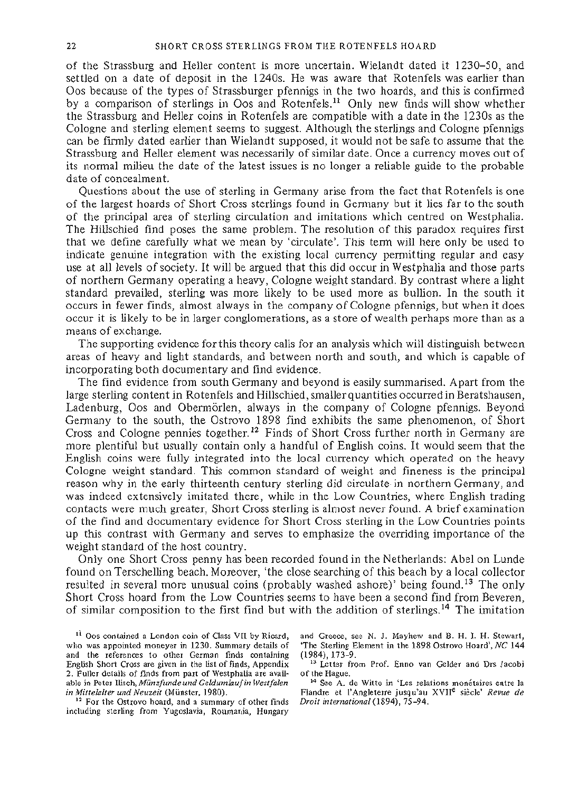of the Strassburg and Heller content is more uncertain. Wielandt dated it 1230-50, and settled on a date of deposit in the 1240s. He was aware that Rotenfels was earlier than Oos because of the types of Strassburger pfennigs in the two hoards, and this is confirmed by a comparison of sterlings in Oos and Rotenfels.<sup>11</sup> Only new finds will show whether the Strassburg and Heller coins in Rotenfels are compatible with a date in the 1230s as the Cologne and sterling element seems to suggest. Although the sterlings and Cologne pfennigs can be firmly dated earlier than Wielandt supposed, it would not be safe to assume that the Strassburg and Heller element was necessarily of similar date. Once a currency moves out of its normal milieu the date of the latest issues is no longer a reliable guide to the probable date of concealment.

Questions about the use of sterling in Germany arise from the fact that Rotenfels is one of the largest hoards of Short Cross sterlings found in Germany but it lies far to the south of the principal area of sterling circulation and imitations which centred on Westphalia. The Hillschied find poses the same problem. The resolution of this paradox requires first that we define carefully what we mean by 'circulate'. This term will here only be used to indicate genuine integration with the existing local currency permitting regular and easy use at all levels of society. It will be argued that this did occur in Westphalia and those parts of northern Germany operating a heavy, Cologne weight standard. By contrast where a light standard prevailed, sterling was more likely to be used more as bullion. In the south it occurs in fewer finds, almost always in the company of Cologne pfennigs, but when it does occur it is likely to be in larger conglomerations, as a store of wealth perhaps more than as a means of exchange.

The supporting evidence for this theory calls for an analysis which will distinguish between areas of heavy and light standards, and between north and south, and which is capable of incorporating both documentary and find evidence.

The find evidence from south Germany and beyond is easily summarised. Apart from the large sterling content in Rotenfels and Hillschied, smaller quantities occurred in Beratshausen, Ladenburg, Oos and Obermörlen, always in the company of Cologne pfennigs. Beyond Germany to the south, the Ostrovo 1898 find exhibits the same phenomenon, of Short Cross and Cologne pennies together.<sup>12</sup> Finds of Short Cross further north in Germany are more plentiful but usually contain only a handful of English coins. It would seem that the English coins were fully integrated into the local currency which operated on the heavy Cologne weight standard. This common standard of weight and fineness is the principal reason why in the early thirteenth century sterling did circulate in northern Germany, and was indeed extensively imitated there, while in the Low Countries, where English trading contacts were much greater, Short Cross sterling is almost never found. A brief examination of the find and documentary evidence for Short Cross sterling in the Low Countries points up this contrast with Germany and serves to emphasize the overriding importance of the weight standard of the host country.

Only one Short Cross penny has been recorded found in the Netherlands: Abel on Lunde found on Terschelling beach. Moreover, 'the close searching of this beach by a local collector resulted in several more unusual coins (probably washed ashore)' being found.<sup>13</sup> The only Short Cross hoard from the Low Countries seems to have been a second find from Beveren, of similar composition to the first find but with the addition of sterlings.<sup>14</sup> The imitation

<sup>12</sup> For the Ostrovo hoard, and a summary of other finds including sterling from Yugoslavia, Roumania, Hungary

and Greece, see N. J. Mayhew and B. H. I. H. Stewart, 'The Sterling Element in the 1898 Ostrovo Hoard',*NC* 144  $(1984)$ ,  $173-9$ .

<sup>13</sup> Letter from Prof. Enno van Gelder and Drs Jacobi of the Hague.

<sup>14</sup> See A. de Witte in 'Les relations monétaires entre la Flandre et l'Angleterre jusqu'au XVII<sup>e</sup> siecle' *Revue de Droit international* (1894), 75-94.

<sup>&</sup>lt;sup>11</sup> Oos contained a London coin of Class VII by Ricard, who was appointed moneyer in 1230. Summary details of and the references to other German finds containing English Short Cross are given in the list of finds, Appendix 2. Fuller details of finds from part of Westphalia are available in Peter Ilisch, *Munzfunde und Geldumlaufin Westfalen in Mittelalter und Neuzeit* (Münster, 1980).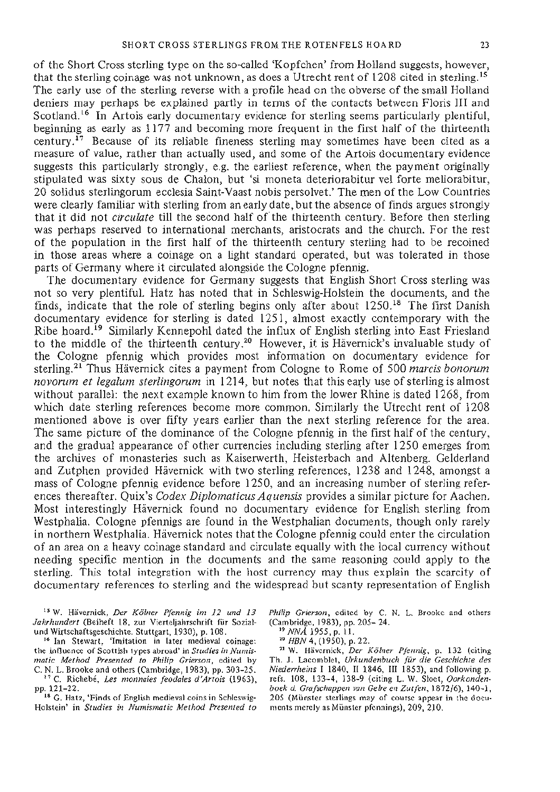of the Short Cross sterling type on the so-called 'Kopfchen' from Holland suggests, however, that the sterling coinage was not unknown, as does a Utrecht rent of 1208 cited in sterling.<sup>15</sup> The early use of the sterling reverse with a profile head on the obverse of the small Holland deniers may perhaps be explained partly in terms of the contacts between Floris III and Scotland.<sup>16</sup> In Artois early documentary evidence for sterling seems particularly plentiful, beginning as early as 1177 and becoming more frequent in the first half of the thirteenth century.<sup>17</sup> Because of its reliable fineness sterling may sometimes have been cited as a measure of value, rather than actually used, and some of the Artois documentary evidence suggests this particularly strongly, e.g. the earliest reference, when the payment originally stipulated was sixty sous de Chalon, but 'si moneta deteriorabitur vel forte meliorabitur, 20 solidus sterlingorum ecclesia Saint-Vaast nobis persolvet.' The men of the Low Countries were clearly familiar with sterling from an early date, but the absence of finds argues strongly that it did not *circulate* till the second half of the thirteenth century. Before then sterling was perhaps reserved to international merchants, aristocrats and the church. For the rest of the population in the first half of the thirteenth century sterling had to be recoined in those areas where a coinage on a light standard operated, but was tolerated in those parts of Germany where it circulated alongside the Cologne pfennig.

The documentary evidence for Germany suggests that English Short Cross sterling was not so very plentiful. Hatz has noted that in Schleswig-Holstein the documents, and the finds, indicate that the role of sterling begins only after about 1250.<sup>18</sup> The first Danish documentary evidence for sterling is dated 1251, almost exactly contemporary with the Ribe hoard.<sup>19</sup> Similarly Kennepohl dated the influx of English sterling into East Friesland to the middle of the thirteenth century.<sup>20</sup> However, it is Hävernick's invaluable study of the Cologne pfennig which provides most information on documentary evidence for sterling.<sup>21</sup> Thus Havernick cites a payment from Cologne to Rome of 500 *marcis bonorum novorum et legalum sterlingorum* in 1214, but notes that this early use of sterling is almost without parallel: the next example known to him from the lower Rhine is dated 1268, from which date sterling references become more common. Similarly the Utrecht rent of 1208 mentioned above is over fifty years earlier than the next sterling reference for the area. The same picture of the dominance of the Cologne pfennig in the first half of the century, and the gradual appearance of other currencies including sterling after 1250 emerges from the archives of monasteries such as Kaiserwerth, Heisterbach and Altenberg. Gelderland and Zutphen provided Havernick with two sterling references, 1238 and 1248, amongst a mass of Cologne pfennig evidence before 1250, and an increasing number of sterling references thereafter. Quix's *Codex Diplomaticus Aquensis* provides a similar picture for Aachen. Most interestingly Havernick found no documentary evidence for English sterling from Westphalia. Cologne pfennigs are found in the Westphalian documents, though only rarely in northern Westphalia. Havernick notes that the Cologne pfennig could enter the circulation of an area on a heavy coinage standard and circulate equally with the local currency without needing specific mention in the documents and the same reasoning could apply to the sterling. This total integration with the host currency may thus explain the scarcity of documentary references to sterling and the widespread but scanty representation of English

1 5 W. Havernick, *Der Kolner Pfennig im 12 und 13 Jahrhundert* (Beiheft 18, zur Vierteljahrschrift fur Sozialund Wirtschaftsgeschichte. Stuttgart, 1930), p. 108.

 Ian Stewart, 'Imitation in later medieval coinage: the influence of Scottish types abroad' in *Studies in Numismatic Method Presented to Philip Grierson,* edited by C. N. L. Brooke and others (Cambridge, 1983), pp. 303-25. C. Richebe, *Les monnaies feodales d'Artois* (1963), pp. 121-22.

 G. Hatz, 'Finds of English medieval coins in Schleswig-Holstein' in *Studies in Numismatic Method Presented to*  *Philip Grierson,* edited by C. N. L. Brooke and others (Cambridge, 1983), pp. 205-24.<br><sup>19</sup> NNA 1955, p. 11.

<sup>20</sup> HBN 4, (1950), p. 22.

 W. Havernick, *Der Kolner Pfennig,* p. 132 (citing Th. J. Lacomblet, *Urkundenbuch fur die Geschichte des Niederrheins* I 1840, II 1846, III 1853), and following p. refs. 108, 133-4, 138-9 (citing L. W. Sloet, *Oorkondenboek d. Grafschappen van Gelre en Zutfen,* 1872/6), 140-1, 205 (Miinster sterlings may of course appear in the documents merely as Miinster pfennings), 209, 210.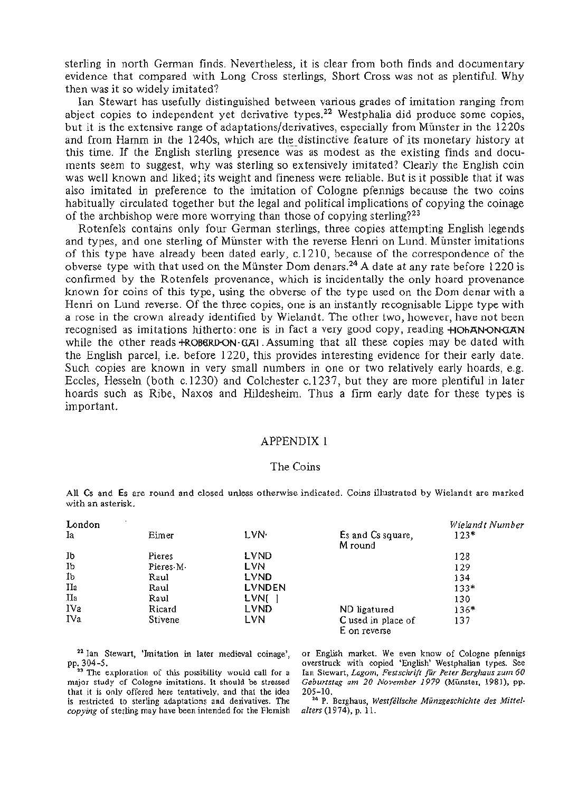sterling in north German finds. Nevertheless, it is clear from both finds and documentary evidence that compared with Long Cross sterlings, Short Cross was not as plentiful. Why then was it so widely imitated?

Ian Stewart has usefully distinguished between various grades of imitation ranging from abject copies to independent yet derivative types.<sup>22</sup> Westphalia did produce some copies, but it is the extensive range of adaptations/derivatives, especially from Münster in the 1220s and from Hamm in the 1240s, which are the distinctive feature of its monetary history at this time. If the English sterling presence was as modest as the existing finds and documents seem to suggest, why was sterling so extensively imitated? Clearly the English coin was well known and liked; its weight and fineness were reliable. But is it possible that it was also imitated in preference to the imitation of Cologne pfennigs because the two coins habitually circulated together but the legal and political implications of copying the coinage of the archbishop were more worrying than those of copying sterling?<sup>23</sup>

Rotenfels contains only four German sterlings, three copies attempting English legends and types, and one sterling of Münster with the reverse Henri on Lund. Münster imitations of this type have already been dated early, c. 1210, because of the correspondence of the obverse type with that used on the Münster Dom denars.<sup>24</sup> A date at any rate before 1220 is confirmed by the Rotenfels provenance, which is incidentally the only hoard provenance known for coins of this type, using the obverse of the type used on the Dom denar with a Henri on Lund reverse. Of the three copies, one is an instantly recognisable Lippe type with a rose in the crown already identified by Wielandt. The other two, however, have not been recognised as imitations hitherto: one is in fact a very good copy, reading  $+$ IOhAN-ON $\alpha$ AN while the other reads  $+ROBGRD-ON-GA1$ . Assuming that all these copies may be dated with the English parcel, i.e. before 1220, this provides interesting evidence for their early date. Such copies are known in very small numbers in one or two relatively early hoards, e.g. Eccles, Hesseln (both c.1230) and Colchester c. 1237, but they are more plentiful in later hoards such as Ribe, Naxos and Hildesheim. Thus a firm early date for these types is important.

#### APPENDIX 1

## The Coins

All Cs and Es are round and closed unless otherwise indicated. Coins illustrated by Wielandt are marked with an asterisk.

| London |           |             |                                    | Wielandt Number |
|--------|-----------|-------------|------------------------------------|-----------------|
| Ia     | Eimer     | LVN.        | Es and Cs square,<br>M round       | $123*$          |
| Jb     | Pieres    | <b>LVND</b> |                                    | 128             |
| Ib     | Pieres M. | LVN         |                                    | 129             |
| İb     | Raul      | <b>LVND</b> |                                    | 134             |
| IIа    | Raul      | LVNDEN      |                                    | $133*$          |
| IIa    | Raul      | LVNI        |                                    | 130             |
| IVa    | Ricard    | LVND        | ND ligatured                       | 136*            |
| IVa    | Stivene   | LVN         | C used in place of<br>E on reverse | 137             |

<sup>22</sup> Ian Stewart, 'Imitation in later medieval coinage'. pp. 304-5.<br><sup>23</sup> The exploration of this possibility would call for a

major study of Cologne imitations. It should be stressed that it is only offered here tentatively, and that the idea is restricted to sterling adaptations and derivatives. The *copying* of sterling may have been intended for the Flemish or English market. We even know of Cologne pfennigs overstruck with copied 'English' Westphalian types. See Ian Stewart, *Lagom, Festschrift fur Peter Berghaus zwn 60 Geburtstag am 20 November 1979* (Münster, 1981), pp. 205-10.

 P. Berghaus, *Westfalische Munzgeschichte des Mittelalters* (1974), p. 11.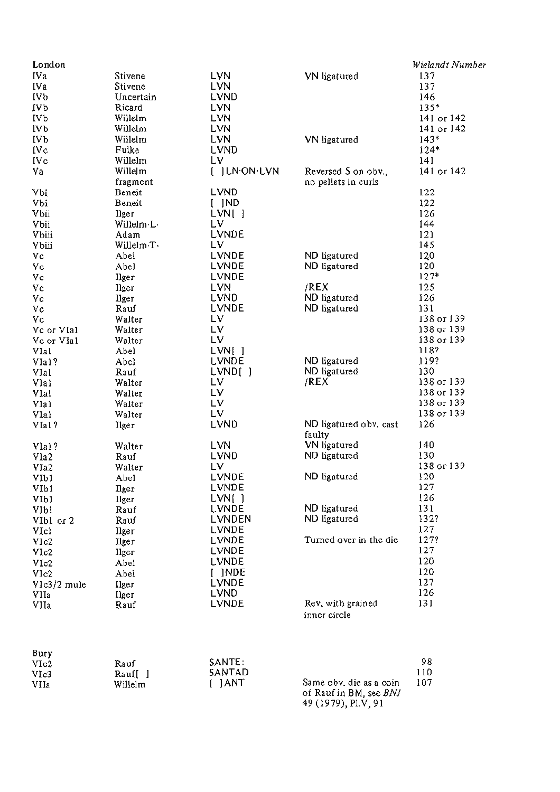| London            |                |                |                        | Wielandt Number   |
|-------------------|----------------|----------------|------------------------|-------------------|
| IVa               | Stivene        | <b>LVN</b>     | VN ligatured           | 137               |
| <b>IVa</b>        | Stivene        | <b>LVN</b>     |                        | 137               |
| IVb               | Uncertain      | LVND           |                        | 146               |
| IVb               | Ricard         | <b>LVN</b>     |                        | 135*              |
| IV <sub>b</sub>   | Willelm        | <b>LVN</b>     |                        | 141 ог 142        |
| IV <sub>b</sub>   | Willelm        | LVN            |                        | 141 or 142        |
| <b>IVb</b>        | Willelm        | LVN            | VN ligatured           | $143*$            |
| IVc               | Fulke          | LVND           |                        | $124*$            |
| IVc               | Willelm        | Lν             |                        | 141               |
| Va                | Willelm        | [ ] LN.ON.LVN  | Reversed S on obv.,    | 141 or 142        |
|                   | fragment       |                | no pellets in curls    |                   |
| Vbi               | Beneit         | LVND           |                        | 122               |
| Vbi               | Beneit         | $[$ $]ND$      |                        | 122               |
| Vbii              | llger          | LVM[           |                        | 126               |
| Vbii              | Willelm-L-     | LV.            |                        | 144               |
| Vbiii             | Adam           | LVNDE          |                        | 121               |
| Vbiji             | Willelm T.     | LV.            |                        | 145               |
| Vc                | Abel           | LVNDE          | ND ligatured           | 120               |
| Vc                | Abel           | LVNDE          | ND ligatured           | 120               |
| Vc                | <b>Ilger</b>   | LVNDE          |                        | $127*$            |
| Vc                | Ilger          | LVN            | /REX                   | 125               |
| Vc                | llger          | LVND           | ND ligatured           | 126               |
| Vc                | Rauf           | LVNDE          | ND ligatured           | 131               |
| Vc                | Walter         | 1V             |                        | 138 or 139        |
| Vc or VIa1        | Walter         | LV             |                        | 138 or 139        |
|                   | Walter         | LV.            |                        | 138 or 139        |
| Vc or VIa1        |                |                |                        | 118?              |
| VIa1              | Abel           | LVN[]<br>LVNDE |                        | 119?              |
| VIa1?             | Abel           |                | ND ligatured           | 130               |
| VIal              | Rauf           | LVND[]<br>LV   | ND ligatured<br>/REX   | 138 or 139        |
| VIal              | Walter         |                |                        |                   |
| VIa1              | Walter         | Lν             |                        | 138 or 139        |
| VIa 1             | Walter         | LV.            |                        | 138 or 139        |
| VIal              | Walter         | LV.            |                        | 138 or 139<br>126 |
| VIa1?             | Ilger          | LVND           | ND ligatured obv. cast |                   |
|                   |                |                | faulty                 | 140               |
| VIal?             | Walter         | LVN            | VN ligatured           | 130               |
| V1a2              | Rauf           | <b>LVND</b>    | ND ligatured           |                   |
| VIa2              | Walter         | LV.            |                        | 138 or 139        |
| VIbi              | Abel           | LVNDE          | ND ligatured           | 120               |
| VIb1              | $_{\rm{Hger}}$ | LVNDE          |                        | 127               |
| VI <sub>b</sub> 1 | <b>Ilger</b>   | LVN[]          |                        | 126               |
| VI <sub>b1</sub>  | Rauf           | LVNDE          | ND ligatured           | 131               |
| VIbl or 2         | Rauf           | LVNDEN         | ND ligatured           | 132?              |
| VIcl              | Ilger          | LVNDE          |                        | 127               |
| VIc2              | Ilger          | LVNDE          | Turned over in the die | 127?              |
| VIc2              | Ilger          | LVNDE          |                        | 127               |
| V1c2              | Abel           | <b>LVNDE</b>   |                        | 120               |
| VIc2              | Abel           | $[$ ]NDE       |                        | 120               |
| $V1c3/2$ mule     | Ilger          | LVNDE          |                        | 127               |
| VIIa              | <b>П</b> geг   | LVND           |                        | 126               |
| VIIa              | Rauf           | LVNDE          | Rev. with grained      | 131               |
|                   |                |                | inner circle           |                   |
|                   |                |                |                        |                   |
|                   |                |                |                        |                   |
| Bury              |                |                |                        |                   |
|                   |                |                |                        |                   |

| ршу<br>V1c2 | Rauf               | SANTE: |                                                  | 98  |
|-------------|--------------------|--------|--------------------------------------------------|-----|
| VIc3        | Rauf <sup>[]</sup> | SANTAD |                                                  |     |
| VIIa        | Willelm            | L IANT | Same obv. die as a coin<br>of Dout in DM and DMI | 107 |

of Rauf in BM, see BNJ<br>49 (1979), Pl.V, 91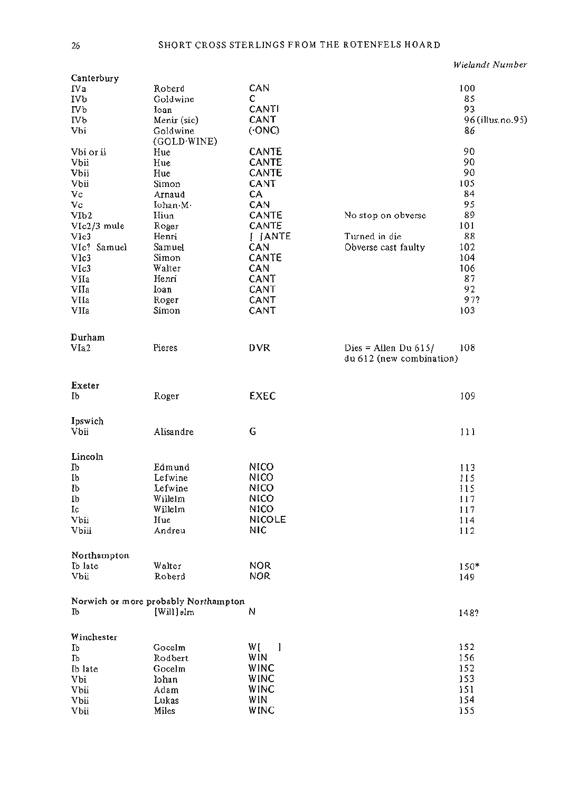Wielandt Number

| Canterbury  |                                      |                     |                          |                  |
|-------------|--------------------------------------|---------------------|--------------------------|------------------|
| ΓVa         | Roberd                               | CAN                 |                          | 100              |
| <b>IVb</b>  | Goldwine                             | с                   |                          | 85               |
| IVb         | Ioan                                 | CANTI               |                          | 93               |
| IVb         | Menir (sic)                          | CANT                |                          | 96 (illus.no.95) |
| Vbi         | Goldwine                             | (0N)                |                          | 86               |
|             | (GOLD WINE)                          |                     |                          |                  |
| Vbi or ii   | Hue                                  | CANTE               |                          | 90               |
| Vbii        | Hue                                  | <b>CANTE</b>        |                          | 90               |
| Vbii        | Hue                                  | CANTE               |                          | 90               |
| Vbii        | Simon                                | CANT                |                          | 105              |
| Vc          | Arnaud                               | СA                  |                          | 84               |
| Vc          | Iohan.M.                             | CAN                 |                          | 95               |
|             |                                      | CANTÉ               | No stop on obverse       | 89               |
| V1b2        | Hiun                                 |                     |                          |                  |
| VIc2/3 mule | Roger                                | CANTE               |                          | 101              |
| VIc3        | Henri                                | $[$ $]$ $ANTE$      | Turned in die            | 88               |
| VIc? Samuel | Samuel                               | CAN                 | Obverse cast faulty      | 102              |
| VIc3        | Simon                                | CANTE               |                          | 104              |
| VIc3        | Walter                               | CAN                 |                          | 106              |
| VIIa        | Henri                                | CANT                |                          | 87               |
| VIIa        | Ioan                                 | CANT                |                          | 92               |
| VIIa        | Roger                                | CANT                |                          | 97?              |
| VIIa        | Simon                                | CANT                |                          | 103              |
|             |                                      |                     |                          |                  |
|             |                                      |                     |                          |                  |
| Durham      |                                      |                     |                          |                  |
| VIa2        | Pieres                               | <b>DVR</b>          | Dies = Allen Du $615/$   | 108              |
|             |                                      |                     | du 612 (new combination) |                  |
|             |                                      |                     |                          |                  |
|             |                                      |                     |                          |                  |
| Exeter      |                                      |                     |                          |                  |
| Ib          | Roger                                | <b>EXEC</b>         |                          | 109              |
|             |                                      |                     |                          |                  |
| Ipswich     |                                      |                     |                          |                  |
| Vbii        | Alisandre                            | G                   |                          | 111              |
|             |                                      |                     |                          |                  |
|             |                                      |                     |                          |                  |
| Lincoln     |                                      |                     |                          |                  |
| Ib          | Edmund                               | <b>NICO</b>         |                          | 113              |
| Ib          | Lefwine                              | NICO                |                          | 115              |
| Ĩb          | Lefwine                              | <b>NICO</b>         |                          | 115              |
| Ib          | Willelm                              | <b>NICO</b>         |                          | 117              |
| Ic          | Willelm                              | NICO                |                          | 117              |
| Vbii        | Hue                                  | <b>NICOLE</b>       |                          | 114              |
| Vbiii       | Andreu                               | NIC.                |                          | 112              |
|             |                                      |                     |                          |                  |
|             |                                      |                     |                          |                  |
| Northampton |                                      |                     |                          |                  |
| Ib late     | Walter                               | <b>NOR</b>          |                          | $150*$           |
| Vbii        | Roberd                               | <b>NOR</b>          |                          | 149              |
|             |                                      |                     |                          |                  |
|             | Norwich or more probably Northampton |                     |                          |                  |
| Ib          | [Will]elm                            | N                   |                          | 148?             |
|             |                                      |                     |                          |                  |
|             |                                      |                     |                          |                  |
| Winchester  |                                      |                     |                          |                  |
| Ib          | Gocelm                               | W (<br>$\mathbf{l}$ |                          | 152              |
| Ib          | Rodbert                              | WIN                 |                          | 156              |
| Ib late     | Gocelm                               | WINC                |                          | 152              |
| Vbi         | Iohan                                | WINC                |                          | 153              |
| Vbii        | Adam                                 | WINC                |                          | 151              |
| Vbii        | Lukas                                | WIN                 |                          | 154              |
| Vbii        | Miles                                | WINC                |                          | 155              |
|             |                                      |                     |                          |                  |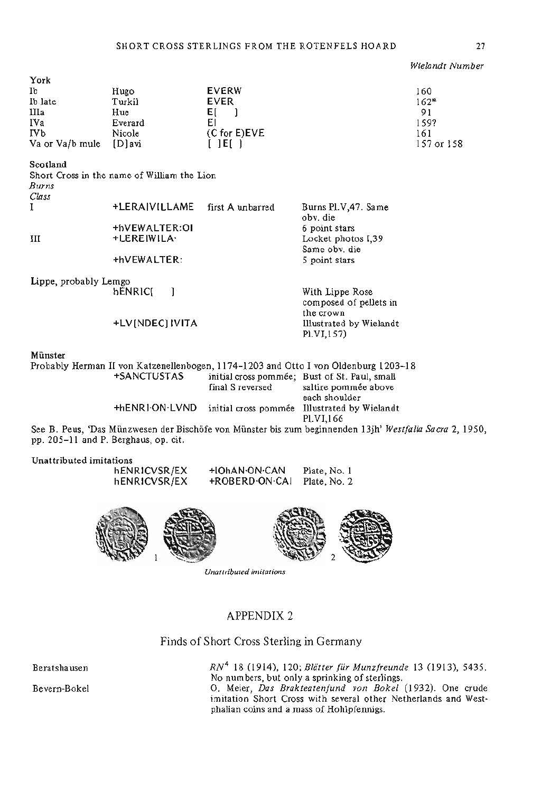*Wielandt Number* 

| York            |         |                 |            |
|-----------------|---------|-----------------|------------|
| Ib              | Hugo    | <b>EVERW</b>    | 160        |
| Ib late         | Turkil  | <b>EVER</b>     | $162*$     |
| IIIa            | Hue     | Ŀ.              | 91         |
| IVa             | Everard | ΕI              | 159?       |
| <b>IVb</b>      | Nicole  | $(C for E)$ EVE | 161        |
| Va or Va/b mule | [D]avi  |                 | 157 or 158 |

#### Scotland

Short Cross in the name of William the Lion *Burns Class* 

| cuss                  |                 |                  |                                 |
|-----------------------|-----------------|------------------|---------------------------------|
|                       | +LERAIVILLAME   | first A unbarred | Burns PLV, 47. Same<br>oby, die |
|                       | +hVEWALTER:01   |                  | 6 point stars                   |
| Ш                     | +LEREIWILA·     |                  | Locket photos I,39              |
|                       |                 |                  | Same obv. die                   |
|                       | +hVEWALTER:     |                  | 5 point stars                   |
| Lippe, probably Lemgo |                 |                  |                                 |
|                       | <b>bENRICI</b>  |                  | With Lippe Rose                 |
|                       |                 |                  | composed of pellets in          |
|                       |                 |                  | the crown                       |
|                       | +LV(NDEC) IVITA |                  | Illustrated by Wielandt         |
|                       |                 |                  | PLVI.157)                       |

#### Münster

Probably Herman II von Katzenellenbogen, 1174-1203 and Otto I von Oldenburg 1203-18 initial cross pommée; Bust of St. Paul, small<br>final S reversed saltire pommée above saltire pommée above each shoulder +hENRIONLVND initial cross pommee Illustrated by Wielandt PI. VI, 166 See B. Peus, 'Das Munzwesen der Bischofe von Munster bis zum beginnenden 13jh' *Westfalia Sacra* 2, 1950, pp. 205-11 and P. Berghaus, op. cit.

Unattributed imitations

| hENRICVSR/EX | +IOhAN-ON-CAN  | Plate, No. 1 |
|--------------|----------------|--------------|
| hENRICVSR/EX | +ROBERD-ON-CAI | Plate, No. 2 |





Unattributed imitations

## APPENDIX 2

Finds of Short Cross Sterling in Germany

Beratshausen *RN\** 18 (1914), 120; *Blatter fur Munzfreunde* 13 (1913), 5435. No numbers, but only a sprinking of sterlings. Bevern-Bokel O. Meier, *Das Br ak teat enfund von Bokel* (1932). One crude imitation Short Cross with several other Netherlands and West- phalian coins and a mass of Hohlpfennigs.